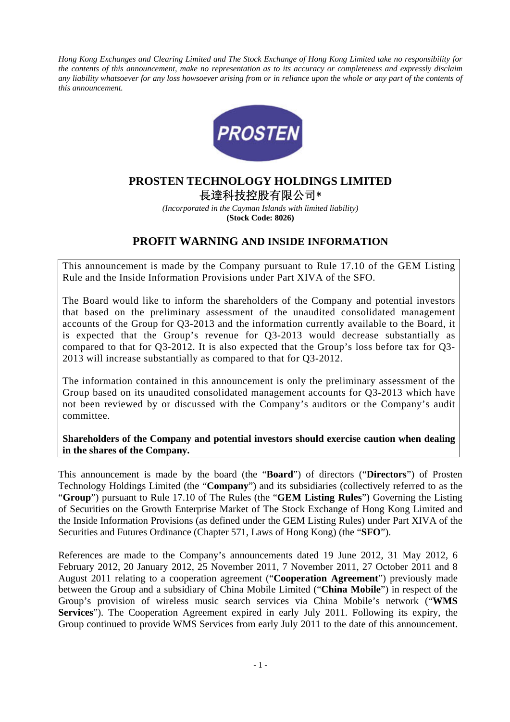*Hong Kong Exchanges and Clearing Limited and The Stock Exchange of Hong Kong Limited take no responsibility for the contents of this announcement, make no representation as to its accuracy or completeness and expressly disclaim*  any liability whatsoever for any loss howsoever arising from or in reliance upon the whole or any part of the contents of *this announcement.* 



## **PROSTEN TECHNOLOGY HOLDINGS LIMITED**  長達科技控股有限公司\*

*(Incorporated in the Cayman Islands with limited liability)*  **(Stock Code: 8026)** 

## **PROFIT WARNING AND INSIDE INFORMATION**

This announcement is made by the Company pursuant to Rule 17.10 of the GEM Listing Rule and the Inside Information Provisions under Part XIVA of the SFO.

The Board would like to inform the shareholders of the Company and potential investors that based on the preliminary assessment of the unaudited consolidated management accounts of the Group for Q3-2013 and the information currently available to the Board, it is expected that the Group's revenue for Q3-2013 would decrease substantially as compared to that for Q3-2012. It is also expected that the Group's loss before tax for Q3- 2013 will increase substantially as compared to that for Q3-2012.

The information contained in this announcement is only the preliminary assessment of the Group based on its unaudited consolidated management accounts for Q3-2013 which have not been reviewed by or discussed with the Company's auditors or the Company's audit committee.

**Shareholders of the Company and potential investors should exercise caution when dealing in the shares of the Company.** 

This announcement is made by the board (the "**Board**") of directors ("**Directors**") of Prosten Technology Holdings Limited (the "**Company**") and its subsidiaries (collectively referred to as the "**Group**") pursuant to Rule 17.10 of The Rules (the "**GEM Listing Rules**") Governing the Listing of Securities on the Growth Enterprise Market of The Stock Exchange of Hong Kong Limited and the Inside Information Provisions (as defined under the GEM Listing Rules) under Part XIVA of the Securities and Futures Ordinance (Chapter 571, Laws of Hong Kong) (the "**SFO**").

References are made to the Company's announcements dated 19 June 2012, 31 May 2012, 6 February 2012, 20 January 2012, 25 November 2011, 7 November 2011, 27 October 2011 and 8 August 2011 relating to a cooperation agreement ("**Cooperation Agreement**") previously made between the Group and a subsidiary of China Mobile Limited ("**China Mobile**") in respect of the Group's provision of wireless music search services via China Mobile's network ("**WMS Services**"). The Cooperation Agreement expired in early July 2011. Following its expiry, the Group continued to provide WMS Services from early July 2011 to the date of this announcement.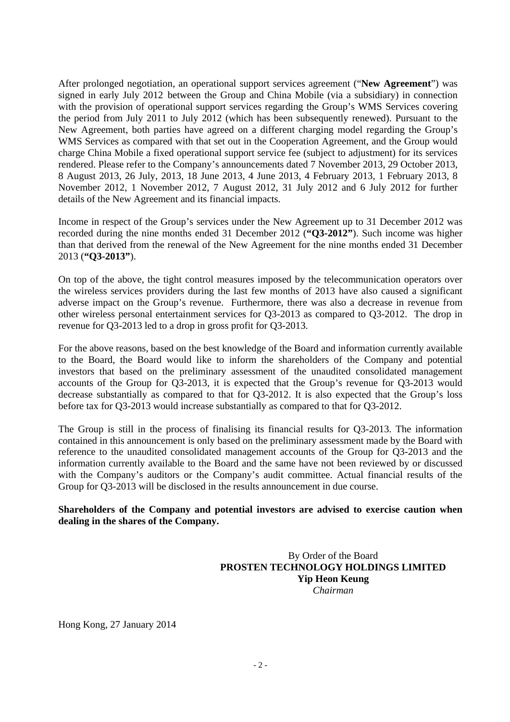After prolonged negotiation, an operational support services agreement ("**New Agreement**") was signed in early July 2012 between the Group and China Mobile (via a subsidiary) in connection with the provision of operational support services regarding the Group's WMS Services covering the period from July 2011 to July 2012 (which has been subsequently renewed). Pursuant to the New Agreement, both parties have agreed on a different charging model regarding the Group's WMS Services as compared with that set out in the Cooperation Agreement, and the Group would charge China Mobile a fixed operational support service fee (subject to adjustment) for its services rendered. Please refer to the Company's announcements dated 7 November 2013, 29 October 2013, 8 August 2013, 26 July, 2013, 18 June 2013, 4 June 2013, 4 February 2013, 1 February 2013, 8 November 2012, 1 November 2012, 7 August 2012, 31 July 2012 and 6 July 2012 for further details of the New Agreement and its financial impacts.

Income in respect of the Group's services under the New Agreement up to 31 December 2012 was recorded during the nine months ended 31 December 2012 (**"Q3-2012"**). Such income was higher than that derived from the renewal of the New Agreement for the nine months ended 31 December 2013 (**"Q3-2013"**).

On top of the above, the tight control measures imposed by the telecommunication operators over the wireless services providers during the last few months of 2013 have also caused a significant adverse impact on the Group's revenue. Furthermore, there was also a decrease in revenue from other wireless personal entertainment services for Q3-2013 as compared to Q3-2012. The drop in revenue for Q3-2013 led to a drop in gross profit for Q3-2013.

For the above reasons, based on the best knowledge of the Board and information currently available to the Board, the Board would like to inform the shareholders of the Company and potential investors that based on the preliminary assessment of the unaudited consolidated management accounts of the Group for Q3-2013, it is expected that the Group's revenue for Q3-2013 would decrease substantially as compared to that for Q3-2012. It is also expected that the Group's loss before tax for Q3-2013 would increase substantially as compared to that for Q3-2012.

The Group is still in the process of finalising its financial results for Q3-2013. The information contained in this announcement is only based on the preliminary assessment made by the Board with reference to the unaudited consolidated management accounts of the Group for Q3-2013 and the information currently available to the Board and the same have not been reviewed by or discussed with the Company's auditors or the Company's audit committee. Actual financial results of the Group for Q3-2013 will be disclosed in the results announcement in due course.

## **Shareholders of the Company and potential investors are advised to exercise caution when dealing in the shares of the Company.**

 By Order of the Board **PROSTEN TECHNOLOGY HOLDINGS LIMITED Yip Heon Keung**   *Chairman* 

Hong Kong, 27 January 2014